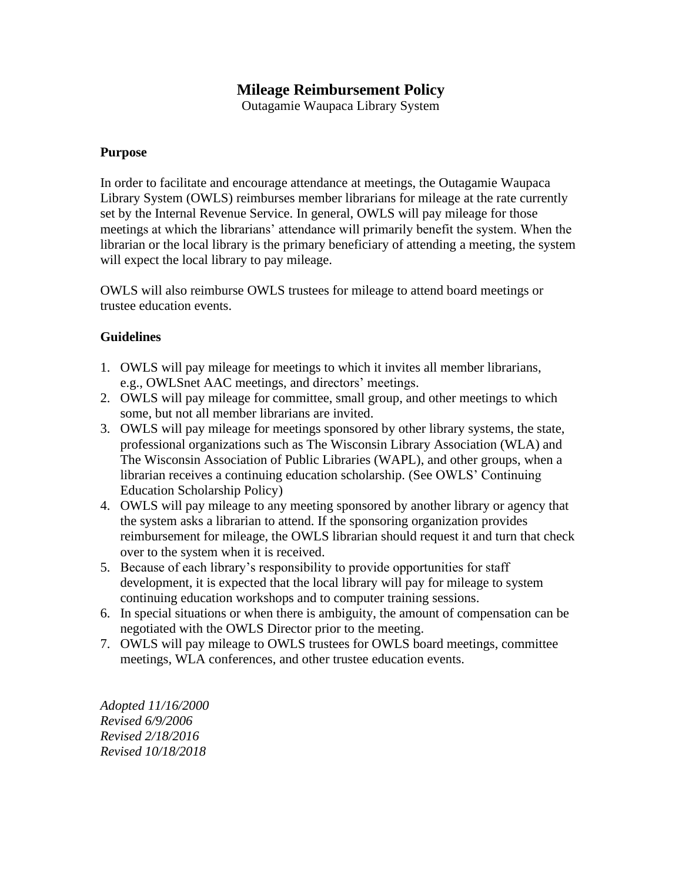## **Mileage Reimbursement Policy**

Outagamie Waupaca Library System

## **Purpose**

In order to facilitate and encourage attendance at meetings, the Outagamie Waupaca Library System (OWLS) reimburses member librarians for mileage at the rate currently set by the Internal Revenue Service. In general, OWLS will pay mileage for those meetings at which the librarians' attendance will primarily benefit the system. When the librarian or the local library is the primary beneficiary of attending a meeting, the system will expect the local library to pay mileage.

OWLS will also reimburse OWLS trustees for mileage to attend board meetings or trustee education events.

## **Guidelines**

- 1. OWLS will pay mileage for meetings to which it invites all member librarians, e.g., OWLSnet AAC meetings, and directors' meetings.
- 2. OWLS will pay mileage for committee, small group, and other meetings to which some, but not all member librarians are invited.
- 3. OWLS will pay mileage for meetings sponsored by other library systems, the state, professional organizations such as The Wisconsin Library Association (WLA) and The Wisconsin Association of Public Libraries (WAPL), and other groups, when a librarian receives a continuing education scholarship. (See OWLS' Continuing Education Scholarship Policy)
- 4. OWLS will pay mileage to any meeting sponsored by another library or agency that the system asks a librarian to attend. If the sponsoring organization provides reimbursement for mileage, the OWLS librarian should request it and turn that check over to the system when it is received.
- 5. Because of each library's responsibility to provide opportunities for staff development, it is expected that the local library will pay for mileage to system continuing education workshops and to computer training sessions.
- 6. In special situations or when there is ambiguity, the amount of compensation can be negotiated with the OWLS Director prior to the meeting.
- 7. OWLS will pay mileage to OWLS trustees for OWLS board meetings, committee meetings, WLA conferences, and other trustee education events.

*Adopted 11/16/2000 Revised 6/9/2006 Revised 2/18/2016 Revised 10/18/2018*